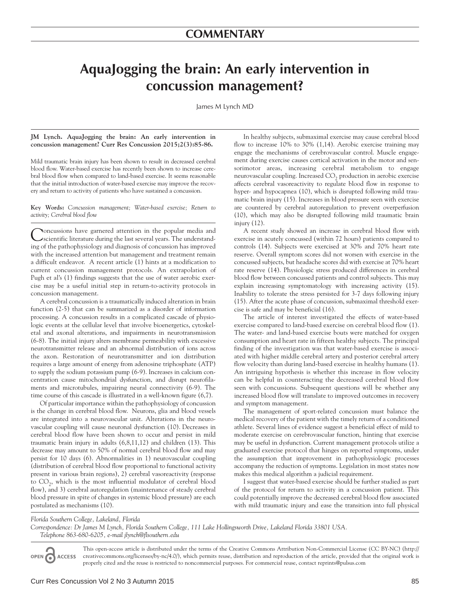## **AquaJogging the brain: An early intervention in concussion management?**

James M Lynch MD

## **JM Lynch. AquaJogging the brain: An early intervention in concussion management? Curr Res Concussion 2015;2(3):85-86.**

Mild traumatic brain injury has been shown to result in decreased cerebral blood flow. Water-based exercise has recently been shown to increase cerebral blood flow when compared to land-based exercise. It seems reasonable that the initial introduction of water-based exercise may improve the recovery and return to activity of patients who have sustained a concussion.

**Key Words:** *Concussion management; Water-based exercise; Return to activity; Cerebral blood flow*

Concussions have garnered attention in the popular media and scientific literature during the last several years. The understanding of the pathophysiology and diagnosis of concussion has improved with the increased attention but management and treatment remain a difficult endeavor. A recent article (1) hints at a modification to current concussion management protocols. An extrapolation of Pugh et al's (1) findings suggests that the use of water aerobic exercise may be a useful initial step in return-to-activity protocols in concussion management.

A cerebral concussion is a traumatically induced alteration in brain function (2-5) that can be summarized as a disorder of information processing. A concussion results in a complicated cascade of physiologic events at the cellular level that involve bioenergetics, cytoskeletal and axonal alterations, and impairments in neurotransmission (6-8). The initial injury alters membrane permeability with excessive neurotransmitter release and an abnormal distribution of ions across the axon. Restoration of neurotransmitter and ion distribution requires a large amount of energy from adenosine triphosphate (ATP) to supply the sodium potassium pump (6-9). Increases in calcium concentration cause mitochondrial dysfunction, and disrupt neurofilaments and microtubules, impairing neural connectivity (6-9). The time course of this cascade is illustrated in a well-known figure (6,7).

Of particular importance within the pathophysiology of concussion is the change in cerebral blood flow. Neurons, glia and blood vessels are integrated into a neurovascular unit. Alterations in the neurovascular coupling will cause neuronal dysfunction (10). Decreases in cerebral blood flow have been shown to occur and persist in mild traumatic brain injury in adults (6,8,11,12) and children (13). This decrease may amount to 50% of normal cerebral blood flow and may persist for 10 days (6). Abnormalities in 1) neurovascular coupling (distribution of cerebral blood flow proportional to functional activity present in various brain regions), 2) cerebral vasoreactivity (response to  $CO<sub>2</sub>$ , which is the most influential modulator of cerebral blood flow), and 3) cerebral autoregulation (maintenance of steady cerebral blood pressure in spite of changes in systemic blood pressure) are each postulated as mechanisms (10).

In healthy subjects, submaximal exercise may cause cerebral blood flow to increase 10% to 30% (1,14). Aerobic exercise training may engage the mechanisms of cerebrovascular control. Muscle engagement during exercise causes cortical activation in the motor and sensorimotor areas, increasing cerebral metabolism to engage neurovascular coupling. Increased  $CO<sub>2</sub>$  production in aerobic exercise affects cerebral vasoreactivity to regulate blood flow in response to hyper- and hypocapnea (10), which is disrupted following mild traumatic brain injury (15). Increases in blood pressure seen with exercise are countered by cerebral autoregulation to prevent overperfusion (10), which may also be disrupted following mild traumatic brain injury (12).

A recent study showed an increase in cerebral blood flow with exercise in acutely concussed (within 72 hours) patients compared to controls (14). Subjects were exercised at 30% and 70% heart rate reserve. Overall symptom scores did not worsen with exercise in the concussed subjects, but headache scores did with exercise at 70% heart rate reserve (14). Physiologic stress produced differences in cerebral blood flow between concussed patients and control subjects. This may explain increasing symptomatology with increasing activity (15). Inability to tolerate the stress persisted for 3-7 days following injury (15). After the acute phase of concussion, submaximal threshold exercise is safe and may be beneficial (16).

The article of interest investigated the effects of water-based exercise compared to land-based exercise on cerebral blood flow (1). The water- and land-based exercise bouts were matched for oxygen consumption and heart rate in fifteen healthy subjects. The principal finding of the investigation was that water-based exercise is associated with higher middle cerebral artery and posterior cerebral artery flow velocity than during land-based exercise in healthy humans (1). An intriguing hypothesis is whether this increase in flow velocity can be helpful in counteracting the decreased cerebral blood flow seen with concussions. Subsequent questions will be whether any increased blood flow will translate to improved outcomes in recovery and symptom management.

The management of sport-related concussion must balance the medical recovery of the patient with the timely return of a conditioned athlete. Several lines of evidence suggest a beneficial effect of mild to moderate exercise on cerebrovascular function, hinting that exercise may be useful in dysfunction. Current management protocols utilize a graduated exercise protocol that hinges on reported symptoms, under the assumption that improvement in pathophysiologic processes accompany the reduction of symptoms. Legislation in most states now makes this medical algorithm a judicial requirement.

I suggest that water-based exercise should be further studied as part of the protocol for return to activity in a concussion patient. This could potentially improve the decreased cerebral blood flow associated with mild traumatic injury and ease the transition into full physical

*Florida Southern College, Lakeland, Florida*

*Correspondence: Dr James M Lynch, Florida Southern College, 111 Lake Hollingsworth Drive, Lakeland Florida 33801 USA. Telephone 863-680-6205, e-mail jlynch@flsouthern.edu*

This open-access article is distributed under the terms of the Creative Commons Attribution Non-Commercial License (CC BY-NC) (http:// OPEN O creativecommons.org/licenses/by-nc/4.0/), which permits reuse, distribution and reproduction of the article, provided that the original work is **ACCESS** properly cited and the reuse is restricted to noncommercial purposes. For commercial reuse, contact reprints@pulsus.com